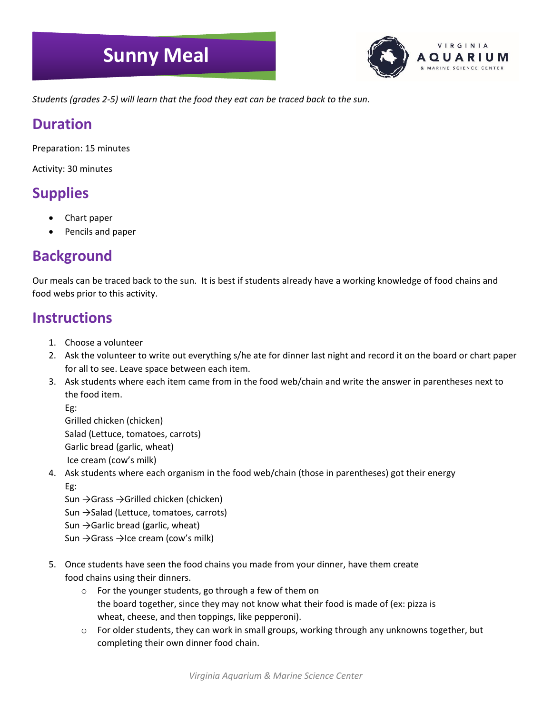# **Sunny Meal**



*Students (grades 2-5) will learn that the food they eat can be traced back to the sun.*

#### **Duration**

Preparation: 15 minutes

Activity: 30 minutes

### **Supplies**

- Chart paper
- Pencils and paper

#### **Background**

Our meals can be traced back to the sun. It is best if students already have a working knowledge of food chains and food webs prior to this activity.

#### **Instructions**

- 1. Choose a volunteer
- 2. Ask the volunteer to write out everything s/he ate for dinner last night and record it on the board or chart paper for all to see. Leave space between each item.
- 3. Ask students where each item came from in the food web/chain and write the answer in parentheses next to the food item.

Eg:

Grilled chicken (chicken) Salad (Lettuce, tomatoes, carrots) Garlic bread (garlic, wheat) Ice cream (cow's milk)

4. Ask students where each organism in the food web/chain (those in parentheses) got their energy Eg:

Sun →Grass →Grilled chicken (chicken) Sun →Salad (Lettuce, tomatoes, carrots) Sun  $\rightarrow$  Garlic bread (garlic, wheat) Sun →Grass →Ice cream (cow's milk)

- 5. Once students have seen the food chains you made from your dinner, have them create food chains using their dinners.
	- o For the younger students, go through a few of them on the board together, since they may not know what their food is made of (ex: pizza is wheat, cheese, and then toppings, like pepperoni).
	- $\circ$  For older students, they can work in small groups, working through any unknowns together, but completing their own dinner food chain.